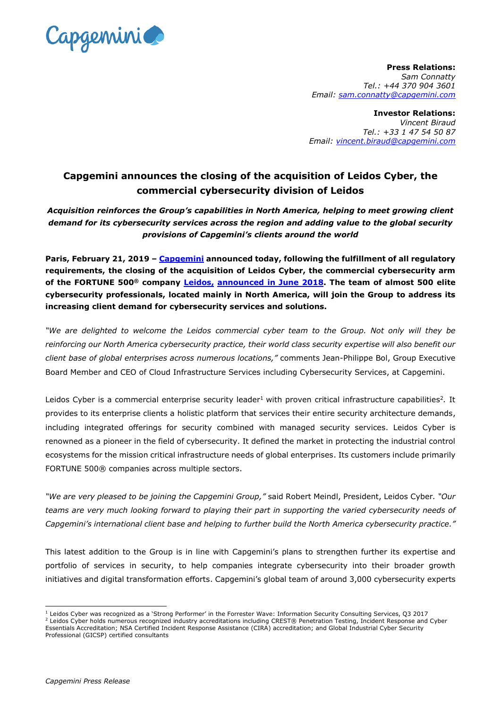

**Press Relations:** *Sam Connatty Tel.: +44 370 904 3601 Email: [sam.connatty@capgemini.com](mailto:sam.connatty@capgemini.com)*

**Investor Relations:** *Vincent Biraud Tel.: +33 1 47 54 50 87 Email: [vincent.biraud@capgemini.com](mailto:vincent.biraud@capgemini.com)*

## **Capgemini announces the closing of the acquisition of Leidos Cyber, the commercial cybersecurity division of Leidos**

*Acquisition reinforces the Group's capabilities in North America, helping to meet growing client demand for its cybersecurity services across the region and adding value to the global security provisions of Capgemini's clients around the world*

**Paris, February 21, 2019 – [Capgemini](https://www.capgemini.com/) announced today, following the fulfillment of all regulatory requirements, the closing of the acquisition of Leidos Cyber, the commercial cybersecurity arm of the FORTUNE 500® company [Leidos,](https://www.leidos.com/) [announced in June](https://www.capgemini.com/news/capgemini-to-acquire-leidos-cyber/) 2018. The team of almost 500 elite cybersecurity professionals, located mainly in North America, will join the Group to address its increasing client demand for cybersecurity services and solutions.**

*"We are delighted to welcome the Leidos commercial cyber team to the Group. Not only will they be reinforcing our North America cybersecurity practice, their world class security expertise will also benefit our client base of global enterprises across numerous locations,"* comments Jean-Philippe Bol, Group Executive Board Member and CEO of Cloud Infrastructure Services including Cybersecurity Services, at Capgemini.

Leidos Cyber is a commercial enterprise security leader<sup>1</sup> with proven critical infrastructure capabilities<sup>2</sup>. It provides to its enterprise clients a holistic platform that services their entire security architecture demands, including integrated offerings for security combined with managed security services. Leidos Cyber is renowned as a pioneer in the field of cybersecurity. It defined the market in protecting the industrial control ecosystems for the mission critical infrastructure needs of global enterprises. Its customers include primarily FORTUNE 500® companies across multiple sectors.

*"We are very pleased to be joining the Capgemini Group,"* said Robert Meindl, President, Leidos Cyber*. "Our teams are very much looking forward to playing their part in supporting the varied cybersecurity needs of Capgemini's international client base and helping to further build the North America cybersecurity practice."*

This latest addition to the Group is in line with Capgemini's plans to strengthen further its expertise and portfolio of services in security, to help companies integrate cybersecurity into their broader growth initiatives and digital transformation efforts. Capgemini's global team of around 3,000 cybersecurity experts

 $\overline{a}$ 

<sup>1</sup> Leidos Cyber was recognized as a 'Strong Performer' in the Forrester Wave: Information Security Consulting Services, Q3 2017

<sup>2</sup> Leidos Cyber holds numerous recognized industry accreditations including CREST® Penetration Testing, Incident Response and Cyber Essentials Accreditation; NSA Certified Incident Response Assistance (CIRA) accreditation; and Global Industrial Cyber Security Professional (GICSP) certified consultants